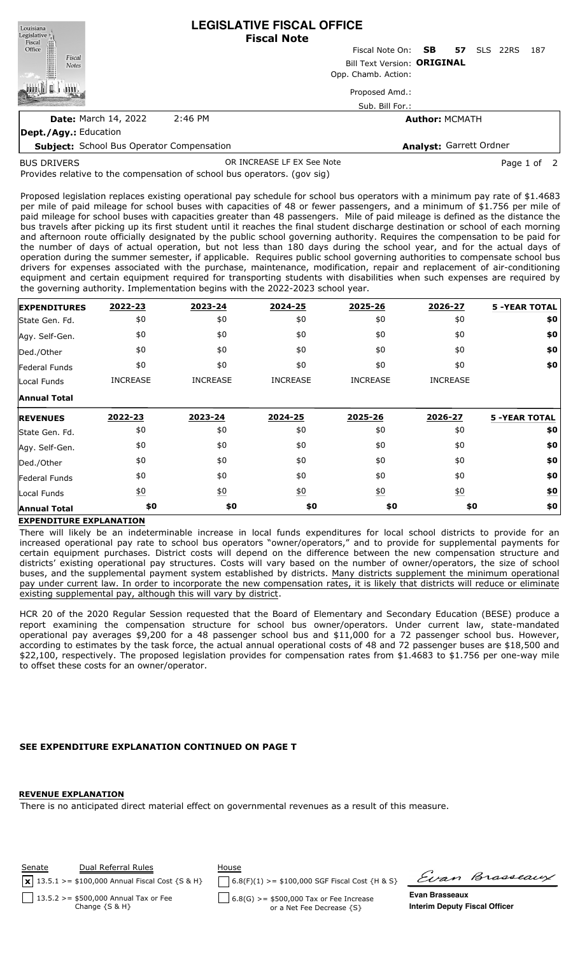| Louisiana                                                 | <b>LEGISLATIVE FISCAL OFFICE</b><br><b>Fiscal Note</b> |                           |    |                    |     |  |  |  |
|-----------------------------------------------------------|--------------------------------------------------------|---------------------------|----|--------------------|-----|--|--|--|
|                                                           |                                                        | Fiscal Note On: <b>SB</b> | 57 | <b>SLS</b><br>22RS | 187 |  |  |  |
| Legislative<br>Fiscal<br>Office<br>Fiscal<br><b>Notes</b> | Bill Text Version: ORIGINAL<br>Opp. Chamb. Action:     |                           |    |                    |     |  |  |  |
|                                                           |                                                        |                           |    |                    |     |  |  |  |
|                                                           |                                                        | Proposed Amd.:            |    |                    |     |  |  |  |
|                                                           |                                                        | Sub. Bill For.:           |    |                    |     |  |  |  |
| <b>Date:</b> March 14, 2022                               | $2:46$ PM                                              | <b>Author: MCMATH</b>     |    |                    |     |  |  |  |
| Dept./Agy.: Education                                     |                                                        |                           |    |                    |     |  |  |  |
| <b>Subject:</b> School Bus Operator Compensation          |                                                        | Analyst: Garrett Ordner   |    |                    |     |  |  |  |

BUS DRIVERS

OR INCREASE LF EX See Note **Page 1 of 2** 

Provides relative to the compensation of school bus operators. (gov sig)

Proposed legislation replaces existing operational pay schedule for school bus operators with a minimum pay rate of \$1.4683 per mile of paid mileage for school buses with capacities of 48 or fewer passengers, and a minimum of \$1.756 per mile of paid mileage for school buses with capacities greater than 48 passengers. Mile of paid mileage is defined as the distance the bus travels after picking up its first student until it reaches the final student discharge destination or school of each morning and afternoon route officially designated by the public school governing authority. Requires the compensation to be paid for the number of days of actual operation, but not less than 180 days during the school year, and for the actual days of operation during the summer semester, if applicable. Requires public school governing authorities to compensate school bus drivers for expenses associated with the purchase, maintenance, modification, repair and replacement of air-conditioning equipment and certain equipment required for transporting students with disabilities when such expenses are required by the governing authority. Implementation begins with the 2022-2023 school year.

| <b>EXPENDITURES</b>                            | 2022-23          | 2023-24          | 2024-25          | 2025-26          | 2026-27          | <b>5 -YEAR TOTAL</b> |
|------------------------------------------------|------------------|------------------|------------------|------------------|------------------|----------------------|
| State Gen. Fd.                                 | \$0              | \$0              | \$0              | \$0              | \$0              | \$0                  |
| Agy. Self-Gen.                                 | \$0              | \$0              | \$0              | \$0              | \$0              | \$0                  |
| Ded./Other                                     | \$0              | \$0              | \$0              | \$0              | \$0              | \$0                  |
| <b>Federal Funds</b>                           | \$0              | \$0              | \$0              | \$0              | \$0              | \$0                  |
| Local Funds                                    | <b>INCREASE</b>  | <b>INCREASE</b>  | <b>INCREASE</b>  | <b>INCREASE</b>  | <b>INCREASE</b>  |                      |
| <b>Annual Total</b>                            |                  |                  |                  |                  |                  |                      |
| <b>REVENUES</b>                                | 2022-23          | 2023-24          | 2024-25          | 2025-26          | 2026-27          | <b>5 -YEAR TOTAL</b> |
|                                                |                  |                  |                  |                  |                  |                      |
|                                                | \$0              | \$0              | \$0              | \$0              | \$0              | \$0                  |
|                                                | \$0              | \$0              | \$0              | \$0              | \$0              | \$0                  |
| State Gen. Fd.<br>Agy. Self-Gen.<br>Ded./Other | \$0              | \$0              | \$0              | \$0              | \$0              | \$0                  |
| Federal Funds                                  | \$0              | \$0              | \$0              | \$0              | \$0              | \$0                  |
| Local Funds                                    | $\underline{50}$ | $\underline{40}$ | $\underline{40}$ | $\underline{50}$ | $\underline{50}$ | \$0                  |

## **EXPENDITURE EXPLANATION**

There will likely be an indeterminable increase in local funds expenditures for local school districts to provide for an increased operational pay rate to school bus operators "owner/operators," and to provide for supplemental payments for certain equipment purchases. District costs will depend on the difference between the new compensation structure and districts' existing operational pay structures. Costs will vary based on the number of owner/operators, the size of school buses, and the supplemental payment system established by districts. Many districts supplement the minimum operational pay under current law. In order to incorporate the new compensation rates, it is likely that districts will reduce or eliminate existing supplemental pay, although this will vary by district.

HCR 20 of the 2020 Regular Session requested that the Board of Elementary and Secondary Education (BESE) produce a report examining the compensation structure for school bus owner/operators. Under current law, state-mandated operational pay averages \$9,200 for a 48 passenger school bus and \$11,000 for a 72 passenger school bus. However, according to estimates by the task force, the actual annual operational costs of 48 and 72 passenger buses are \$18,500 and \$22,100, respectively. The proposed legislation provides for compensation rates from \$1.4683 to \$1.756 per one-way mile to offset these costs for an owner/operator.

## **SEE EXPENDITURE EXPLANATION CONTINUED ON PAGE T**

## **REVENUE EXPLANATION**

There is no anticipated direct material effect on governmental revenues as a result of this measure.



Evan Brasseaux

**Interim Deputy Fiscal Officer**